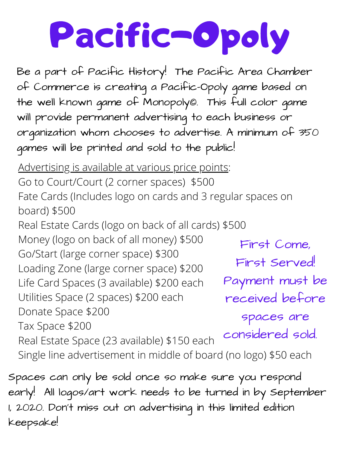## Pacific-Opoly

Be a part of Pacific History! The Pacific Area Chamber of Commerce is creating a Pacific-Opoly game based on the well known game of Monopoly©. This full color game will provide permanent advertising to each business or organization whom chooses to advertise. A minimum of 350 games will be printed and sold to the public!

Advertising is available at various price points: Go to Court/Court (2 corner spaces) \$500 Fate Cards (Includes logo on cards and 3 regular spaces on board) \$500 Real Estate Cards (logo on back of all cards) \$500

Money (logo on back of all money) \$500 Go/Start (large corner space) \$300 Loading Zone (large corner space) \$200 Life Card Spaces (3 available) \$200 each Utilities Space (2 spaces) \$200 each Donate Space \$200 Tax Space \$200 Real Estate Space (23 available) \$150 each Single line advertisement in middle of board (no logo) \$50 each First Come, First Served! Payment must be received before spaces are considered sold.

Spaces can only be sold once so make sure you respond early! All logos/art work needs to be turned in by September 1, 2020. Don't miss out on advertising in this limited edition keepsake!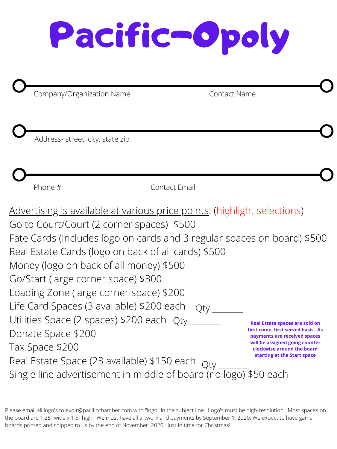## Pacific-Opoly

Company/Organization Name Contact Name

Address- street, city, state zip

Phone # Contact Email

Advertising is available at various price points: (highlight selections) Go to Court/Court (2 corner spaces) \$500

Fate Cards (Includes logo on cards and 3 regular spaces on board) \$500 Real Estate Cards (logo on back of all cards) \$500 Money (logo on back of all money) \$500 Go/Start (large corner space) \$300 Loading Zone (large corner space) \$200 Life Card Spaces (3 available) \$200 each Utilities Space (2 spaces) \$200 each Qty Donate Space \$200 Tax Space \$200 Real Estate Space (23 available) \$150 each Single line advertisement in middle of board (no logo) \$50 each  $Q$ ty Qty \_\_\_\_\_\_\_\_ **Real Estate spaces are sold on first come, first served basis. As payments are received spaces will be assigned going counter clockwise around the board starting at the Start space**

Please email all logo's to exdir@pacificchamber.com with "logo" in the subject line. Logo's must be high-resolution. Most spaces on the board are 1.25" wide x 1.5" high. We must have all artwork and payments by September 1, 2020. We expect to have game boards printed and shipped to us by the end of November 2020. Just in time for Christmas!